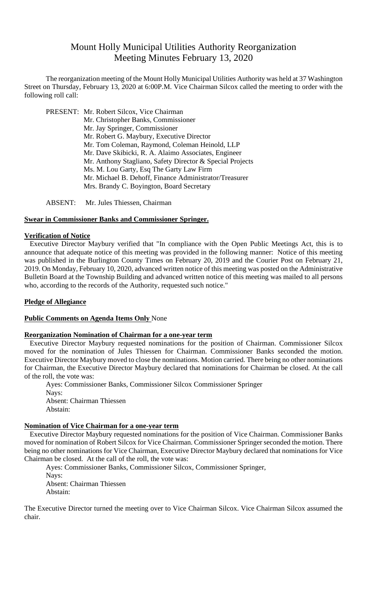# Mount Holly Municipal Utilities Authority Reorganization Meeting Minutes February 13, 2020

The reorganization meeting of the Mount Holly Municipal Utilities Authority was held at 37 Washington Street on Thursday, February 13, 2020 at 6:00P.M. Vice Chairman Silcox called the meeting to order with the following roll call:

PRESENT: Mr. Robert Silcox, Vice Chairman Mr. Christopher Banks, Commissioner Mr. Jay Springer, Commissioner Mr. Robert G. Maybury, Executive Director Mr. Tom Coleman, Raymond, Coleman Heinold, LLP Mr. Dave Skibicki, R. A. Alaimo Associates, Engineer Mr. Anthony Stagliano, Safety Director & Special Projects Ms. M. Lou Garty, Esq The Garty Law Firm Mr. Michael B. Dehoff, Finance Administrator/Treasurer Mrs. Brandy C. Boyington, Board Secretary

ABSENT: Mr. Jules Thiessen, Chairman

# **Swear in Commissioner Banks and Commissioner Springer.**

#### **Verification of Notice**

Executive Director Maybury verified that "In compliance with the Open Public Meetings Act, this is to announce that adequate notice of this meeting was provided in the following manner: Notice of this meeting was published in the Burlington County Times on February 20, 2019 and the Courier Post on February 21, 2019. On Monday, February 10, 2020, advanced written notice of this meeting was posted on the Administrative Bulletin Board at the Township Building and advanced written notice of this meeting was mailed to all persons who, according to the records of the Authority, requested such notice."

#### **Pledge of Allegiance**

#### **Public Comments on Agenda Items Only** None

#### **Reorganization Nomination of Chairman for a one-year term**

Executive Director Maybury requested nominations for the position of Chairman. Commissioner Silcox moved for the nomination of Jules Thiessen for Chairman. Commissioner Banks seconded the motion. Executive Director Maybury moved to close the nominations. Motion carried. There being no other nominations for Chairman, the Executive Director Maybury declared that nominations for Chairman be closed. At the call of the roll, the vote was:

Ayes: Commissioner Banks, Commissioner Silcox Commissioner Springer Nays: Absent: Chairman Thiessen Abstain:

#### **Nomination of Vice Chairman for a one-year term**

Executive Director Maybury requested nominations for the position of Vice Chairman. Commissioner Banks moved for nomination of Robert Silcox for Vice Chairman. Commissioner Springer seconded the motion. There being no other nominations for Vice Chairman, Executive Director Maybury declared that nominations for Vice Chairman be closed. At the call of the roll, the vote was:

Ayes: Commissioner Banks, Commissioner Silcox, Commissioner Springer, Nays: Absent: Chairman Thiessen Abstain:

The Executive Director turned the meeting over to Vice Chairman Silcox. Vice Chairman Silcox assumed the chair.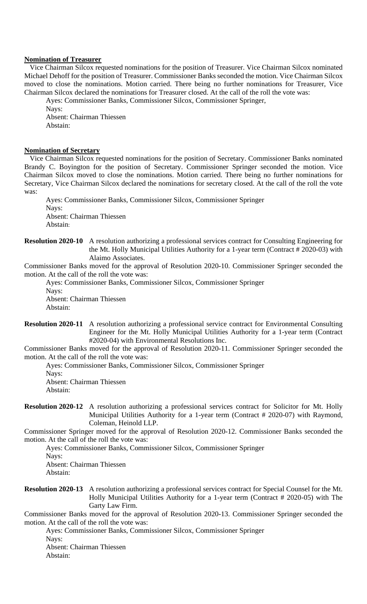#### **Nomination of Treasurer**

Vice Chairman Silcox requested nominations for the position of Treasurer. Vice Chairman Silcox nominated Michael Dehoff for the position of Treasurer. Commissioner Banks seconded the motion. Vice Chairman Silcox moved to close the nominations. Motion carried. There being no further nominations for Treasurer, Vice Chairman Silcox declared the nominations for Treasurer closed. At the call of the roll the vote was:

Ayes: Commissioner Banks, Commissioner Silcox, Commissioner Springer,

Nays: Absent: Chairman Thiessen

Abstain:

#### **Nomination of Secretary**

Vice Chairman Silcox requested nominations for the position of Secretary. Commissioner Banks nominated Brandy C. Boyington for the position of Secretary. Commissioner Springer seconded the motion. Vice Chairman Silcox moved to close the nominations. Motion carried. There being no further nominations for Secretary, Vice Chairman Silcox declared the nominations for secretary closed. At the call of the roll the vote was:

Ayes: Commissioner Banks, Commissioner Silcox, Commissioner Springer Nays: Absent: Chairman Thiessen Abstain:

#### **Resolution 2020-10** A resolution authorizing a professional services contract for Consulting Engineering for the Mt. Holly Municipal Utilities Authority for a 1-year term (Contract # 2020-03) with Alaimo Associates.

Commissioner Banks moved for the approval of Resolution 2020-10. Commissioner Springer seconded the motion. At the call of the roll the vote was:

Ayes: Commissioner Banks, Commissioner Silcox, Commissioner Springer Nays:

Absent: Chairman Thiessen Abstain:

**Resolution 2020-11** A resolution authorizing a professional service contract for Environmental Consulting Engineer for the Mt. Holly Municipal Utilities Authority for a 1-year term (Contract #2020-04) with Environmental Resolutions Inc.

Commissioner Banks moved for the approval of Resolution 2020-11. Commissioner Springer seconded the motion. At the call of the roll the vote was:

Ayes: Commissioner Banks, Commissioner Silcox, Commissioner Springer

Nays:

Absent: Chairman Thiessen Abstain:

**Resolution 2020-12** A resolution authorizing a professional services contract for Solicitor for Mt. Holly Municipal Utilities Authority for a 1-year term (Contract # 2020-07) with Raymond, Coleman, Heinold LLP.

Commissioner Springer moved for the approval of Resolution 2020-12. Commissioner Banks seconded the motion. At the call of the roll the vote was:

Ayes: Commissioner Banks, Commissioner Silcox, Commissioner Springer

Nays:

Absent: Chairman Thiessen Abstain:

**Resolution 2020-13** A resolution authorizing a professional services contract for Special Counsel for the Mt. Holly Municipal Utilities Authority for a 1-year term (Contract # 2020-05) with The Garty Law Firm.

Commissioner Banks moved for the approval of Resolution 2020-13. Commissioner Springer seconded the motion. At the call of the roll the vote was:

Ayes: Commissioner Banks, Commissioner Silcox, Commissioner Springer Nays: Absent: Chairman Thiessen

Abstain: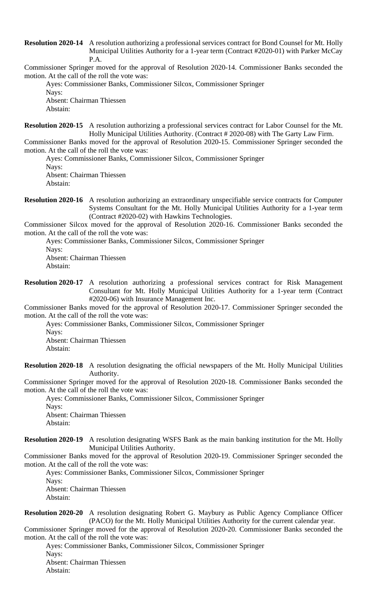**Resolution 2020-14** A resolution authorizing a professional services contract for Bond Counsel for Mt. Holly Municipal Utilities Authority for a 1-year term (Contract #2020-01) with Parker McCay P.A.

Commissioner Springer moved for the approval of Resolution 2020-14. Commissioner Banks seconded the motion. At the call of the roll the vote was:

Ayes: Commissioner Banks, Commissioner Silcox, Commissioner Springer Nays: Absent: Chairman Thiessen

Abstain:

**Resolution 2020-15** A resolution authorizing a professional services contract for Labor Counsel for the Mt. Holly Municipal Utilities Authority. (Contract # 2020-08) with The Garty Law Firm.

Commissioner Banks moved for the approval of Resolution 2020-15. Commissioner Springer seconded the motion. At the call of the roll the vote was:

Ayes: Commissioner Banks, Commissioner Silcox, Commissioner Springer

Nays:

Absent: Chairman Thiessen Abstain:

#### **Resolution 2020-16** A resolution authorizing an extraordinary unspecifiable service contracts for Computer Systems Consultant for the Mt. Holly Municipal Utilities Authority for a 1-year term (Contract #2020-02) with Hawkins Technologies.

Commissioner Silcox moved for the approval of Resolution 2020-16. Commissioner Banks seconded the motion. At the call of the roll the vote was:

Ayes: Commissioner Banks, Commissioner Silcox, Commissioner Springer

Nays:

Absent: Chairman Thiessen Abstain:

**Resolution 2020-17** A resolution authorizing a professional services contract for Risk Management Consultant for Mt. Holly Municipal Utilities Authority for a 1-year term (Contract #2020-06) with Insurance Management Inc.

Commissioner Banks moved for the approval of Resolution 2020-17. Commissioner Springer seconded the motion. At the call of the roll the vote was:

Ayes: Commissioner Banks, Commissioner Silcox, Commissioner Springer Nays:

Absent: Chairman Thiessen Abstain:

**Resolution 2020-18** A resolution designating the official newspapers of the Mt. Holly Municipal Utilities Authority.

Commissioner Springer moved for the approval of Resolution 2020-18. Commissioner Banks seconded the motion. At the call of the roll the vote was:

Ayes: Commissioner Banks, Commissioner Silcox, Commissioner Springer

Nays: Absent: Chairman Thiessen Abstain:

**Resolution 2020-19** A resolution designating WSFS Bank as the main banking institution for the Mt. Holly Municipal Utilities Authority.

Commissioner Banks moved for the approval of Resolution 2020-19. Commissioner Springer seconded the motion. At the call of the roll the vote was:

Ayes: Commissioner Banks, Commissioner Silcox, Commissioner Springer

Nays: Absent: Chairman Thiessen Abstain:

**Resolution 2020-20** A resolution designating Robert G. Maybury as Public Agency Compliance Officer (PACO) for the Mt. Holly Municipal Utilities Authority for the current calendar year.

Commissioner Springer moved for the approval of Resolution 2020-20. Commissioner Banks seconded the motion. At the call of the roll the vote was:

Ayes: Commissioner Banks, Commissioner Silcox, Commissioner Springer Nays: Absent: Chairman Thiessen

Abstain: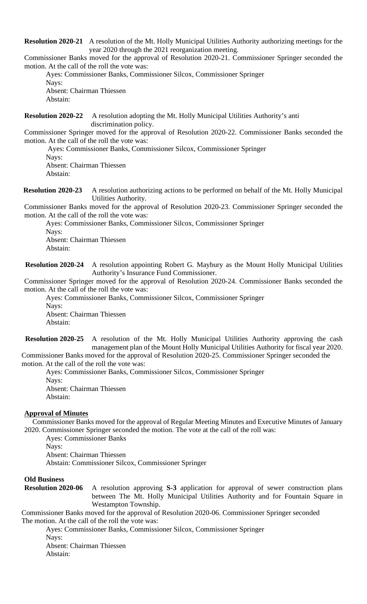**Resolution 2020-21** A resolution of the Mt. Holly Municipal Utilities Authority authorizing meetings for the year 2020 through the 2021 reorganization meeting.

Commissioner Banks moved for the approval of Resolution 2020-21. Commissioner Springer seconded the motion. At the call of the roll the vote was:

Ayes: Commissioner Banks, Commissioner Silcox, Commissioner Springer Nays: Absent: Chairman Thiessen

Abstain:

**Resolution 2020-22** A resolution adopting the Mt. Holly Municipal Utilities Authority's anti discrimination policy.

Commissioner Springer moved for the approval of Resolution 2020-22. Commissioner Banks seconded the motion. At the call of the roll the vote was:

Ayes: Commissioner Banks, Commissioner Silcox, Commissioner Springer

Nays:

Absent: Chairman Thiessen Abstain:

**Resolution 2020-23** A resolution authorizing actions to be performed on behalf of the Mt. Holly Municipal Utilities Authority.

Commissioner Banks moved for the approval of Resolution 2020-23. Commissioner Springer seconded the motion. At the call of the roll the vote was:

Ayes: Commissioner Banks, Commissioner Silcox, Commissioner Springer Nays:

Absent: Chairman Thiessen Abstain:

 **Resolution 2020-24** A resolution appointing Robert G. Maybury as the Mount Holly Municipal Utilities Authority's Insurance Fund Commissioner.

Commissioner Springer moved for the approval of Resolution 2020-24. Commissioner Banks seconded the motion. At the call of the roll the vote was:

Ayes: Commissioner Banks, Commissioner Silcox, Commissioner Springer Nays: Absent: Chairman Thiessen Abstain:

**Resolution 2020-25** A resolution of the Mt. Holly Municipal Utilities Authority approving the cash management plan of the Mount Holly Municipal Utilities Authority for fiscal year 2020. Commissioner Banks moved for the approval of Resolution 2020-25. Commissioner Springer seconded the

motion. At the call of the roll the vote was:

Ayes: Commissioner Banks, Commissioner Silcox, Commissioner Springer

Nays: Absent: Chairman Thiessen Abstain:

# **Approval of Minutes**

Commissioner Banks moved for the approval of Regular Meeting Minutes and Executive Minutes of January 2020. Commissioner Springer seconded the motion. The vote at the call of the roll was:

Ayes: Commissioner Banks

Nays:

Absent: Chairman Thiessen

Abstain: Commissioner Silcox, Commissioner Springer

# **Old Business**

**Resolution 2020-06** A resolution approving **S-3** application for approval of sewer construction plans between The Mt. Holly Municipal Utilities Authority and for Fountain Square in Westampton Township.

Commissioner Banks moved for the approval of Resolution 2020-06. Commissioner Springer seconded The motion. At the call of the roll the vote was:

Ayes: Commissioner Banks, Commissioner Silcox, Commissioner Springer Navs: Absent: Chairman Thiessen

Abstain: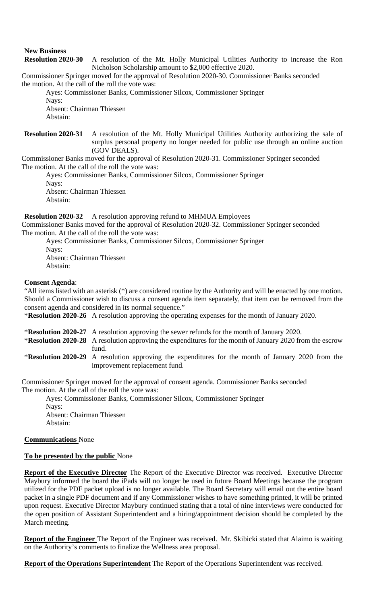# **New Business**

**Resolution 2020-30** A resolution of the Mt. Holly Municipal Utilities Authority to increase the Ron Nicholson Scholarship amount to \$2,000 effective 2020.

Commissioner Springer moved for the approval of Resolution 2020-30. Commissioner Banks seconded the motion. At the call of the roll the vote was:

Ayes: Commissioner Banks, Commissioner Silcox, Commissioner Springer Nays: Absent: Chairman Thiessen Abstain:

**Resolution 2020-31** A resolution of the Mt. Holly Municipal Utilities Authority authorizing the sale of surplus personal property no longer needed for public use through an online auction (GOV DEALS).

Commissioner Banks moved for the approval of Resolution 2020-31. Commissioner Springer seconded The motion. At the call of the roll the vote was:

Ayes: Commissioner Banks, Commissioner Silcox, Commissioner Springer Nays: Absent: Chairman Thiessen

Abstain:

**Resolution 2020-32** A resolution approving refund to MHMUA Employees Commissioner Banks moved for the approval of Resolution 2020-32. Commissioner Springer seconded The motion. At the call of the roll the vote was:

Ayes: Commissioner Banks, Commissioner Silcox, Commissioner Springer Nays: Absent: Chairman Thiessen Abstain:

# **Consent Agenda**:

"All items listed with an asterisk (\*) are considered routine by the Authority and will be enacted by one motion. Should a Commissioner wish to discuss a consent agenda item separately, that item can be removed from the consent agenda and considered in its normal sequence."

\***Resolution 2020-26** A resolution approving the operating expenses for the month of January 2020.

\***Resolution 2020-27** A resolution approving the sewer refunds for the month of January 2020.

- \***Resolution 2020-28** A resolution approving the expenditures for the month of January 2020 from the escrow fund.
- \***Resolution 2020-29** A resolution approving the expenditures for the month of January 2020 from the improvement replacement fund.

Commissioner Springer moved for the approval of consent agenda. Commissioner Banks seconded The motion. At the call of the roll the vote was:

Ayes: Commissioner Banks, Commissioner Silcox, Commissioner Springer Nays: Absent: Chairman Thiessen Abstain:

# **Communications** None

# **To be presented by the public** None

**Report of the Executive Director** The Report of the Executive Director was received. Executive Director Maybury informed the board the iPads will no longer be used in future Board Meetings because the program utilized for the PDF packet upload is no longer available. The Board Secretary will email out the entire board packet in a single PDF document and if any Commissioner wishes to have something printed, it will be printed upon request. Executive Director Maybury continued stating that a total of nine interviews were conducted for the open position of Assistant Superintendent and a hiring/appointment decision should be completed by the March meeting.

**Report of the Engineer** The Report of the Engineer was received. Mr. Skibicki stated that Alaimo is waiting on the Authority's comments to finalize the Wellness area proposal.

**Report of the Operations Superintendent** The Report of the Operations Superintendent was received.